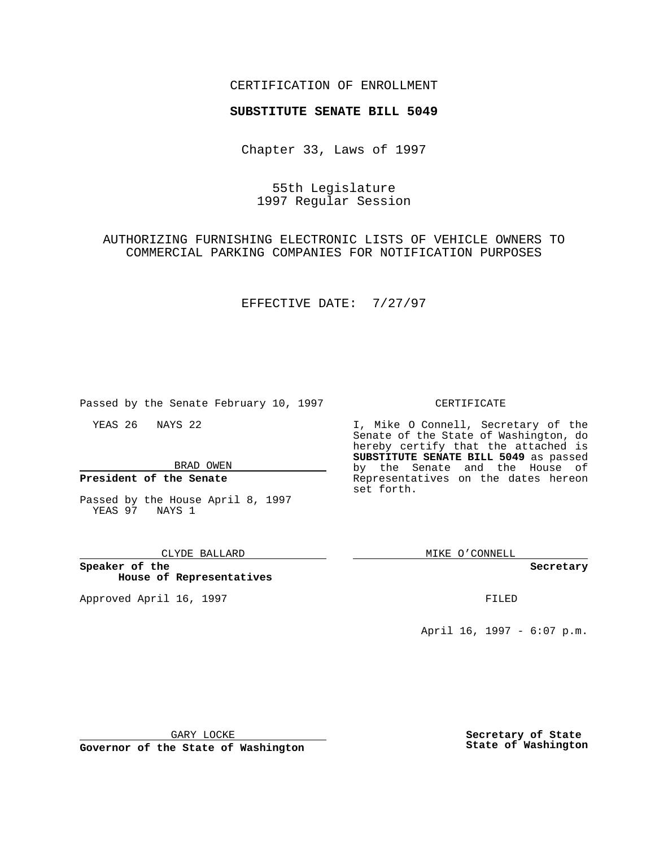## CERTIFICATION OF ENROLLMENT

# **SUBSTITUTE SENATE BILL 5049**

Chapter 33, Laws of 1997

55th Legislature 1997 Regular Session

AUTHORIZING FURNISHING ELECTRONIC LISTS OF VEHICLE OWNERS TO COMMERCIAL PARKING COMPANIES FOR NOTIFICATION PURPOSES

EFFECTIVE DATE: 7/27/97

Passed by the Senate February 10, 1997

YEAS 26 NAYS 22

BRAD OWEN

**President of the Senate**

Passed by the House April 8, 1997 YEAS 97 NAYS 1

CLYDE BALLARD

**Speaker of the House of Representatives**

Approved April 16, 1997 **FILED** 

### CERTIFICATE

I, Mike O Connell, Secretary of the Senate of the State of Washington, do hereby certify that the attached is **SUBSTITUTE SENATE BILL 5049** as passed by the Senate and the House of Representatives on the dates hereon set forth.

MIKE O'CONNELL

#### **Secretary**

April 16, 1997 - 6:07 p.m.

GARY LOCKE

**Governor of the State of Washington**

**Secretary of State State of Washington**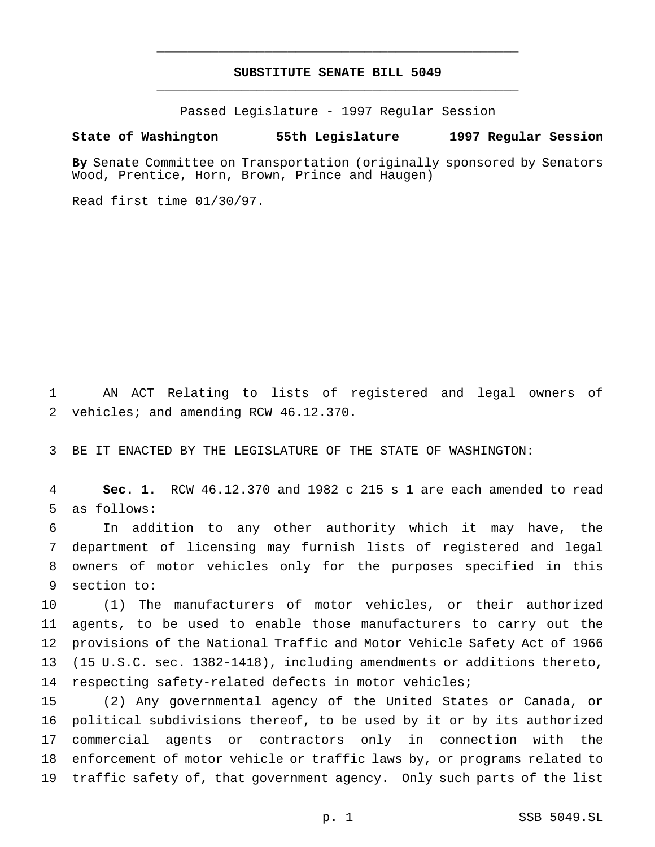# **SUBSTITUTE SENATE BILL 5049** \_\_\_\_\_\_\_\_\_\_\_\_\_\_\_\_\_\_\_\_\_\_\_\_\_\_\_\_\_\_\_\_\_\_\_\_\_\_\_\_\_\_\_\_\_\_\_

\_\_\_\_\_\_\_\_\_\_\_\_\_\_\_\_\_\_\_\_\_\_\_\_\_\_\_\_\_\_\_\_\_\_\_\_\_\_\_\_\_\_\_\_\_\_\_

Passed Legislature - 1997 Regular Session

### **State of Washington 55th Legislature 1997 Regular Session**

**By** Senate Committee on Transportation (originally sponsored by Senators Wood, Prentice, Horn, Brown, Prince and Haugen)

Read first time 01/30/97.

 AN ACT Relating to lists of registered and legal owners of vehicles; and amending RCW 46.12.370.

BE IT ENACTED BY THE LEGISLATURE OF THE STATE OF WASHINGTON:

 **Sec. 1.** RCW 46.12.370 and 1982 c 215 s 1 are each amended to read as follows:

 In addition to any other authority which it may have, the department of licensing may furnish lists of registered and legal owners of motor vehicles only for the purposes specified in this section to:

 (1) The manufacturers of motor vehicles, or their authorized agents, to be used to enable those manufacturers to carry out the provisions of the National Traffic and Motor Vehicle Safety Act of 1966 (15 U.S.C. sec. 1382-1418), including amendments or additions thereto, respecting safety-related defects in motor vehicles;

 (2) Any governmental agency of the United States or Canada, or political subdivisions thereof, to be used by it or by its authorized commercial agents or contractors only in connection with the enforcement of motor vehicle or traffic laws by, or programs related to traffic safety of, that government agency. Only such parts of the list